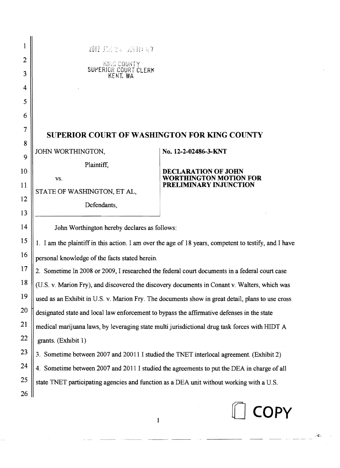|    | 2012 13天25 五月11:57                                                                                    |                                                         |  |
|----|-------------------------------------------------------------------------------------------------------|---------------------------------------------------------|--|
| 2  | KING COUNTY                                                                                           |                                                         |  |
| 3  | SUPERIOR COURT CLERK                                                                                  |                                                         |  |
| 4  |                                                                                                       |                                                         |  |
| 5  |                                                                                                       |                                                         |  |
| 6  |                                                                                                       |                                                         |  |
| 7  | SUPERIOR COURT OF WASHINGTON FOR KING COUNTY                                                          |                                                         |  |
| 8  | JOHN WORTHINGTON,                                                                                     | No. 12-2-02486-3-KNT                                    |  |
| 9  |                                                                                                       |                                                         |  |
| 10 | Plaintiff,                                                                                            | <b>DECLARATION OF JOHN</b>                              |  |
| 11 | VS.                                                                                                   | <b>WORTHINGTON MOTION FOR</b><br>PRELIMINARY INJUNCTION |  |
| 12 | STATE OF WASHINGTON, ET AL,                                                                           |                                                         |  |
| 13 | Defendants,                                                                                           |                                                         |  |
| 14 | John Worthington hereby declares as follows:                                                          |                                                         |  |
| 15 |                                                                                                       |                                                         |  |
| 16 | 1. I am the plaintiff in this action. I am over the age of 18 years, competent to testify, and I have |                                                         |  |
|    | personal knowledge of the facts stated herein.                                                        |                                                         |  |
| 17 | 2. Sometime In 2008 or 2009, I researched the federal court documents in a federal court case         |                                                         |  |
| 18 | (U.S. v. Marion Fry), and discovered the discovery documents in Conant v. Walters, which was          |                                                         |  |
| 19 | used as an Exhibit in U.S. v. Marion Fry. The documents show in great detail, plans to use cross      |                                                         |  |
| 20 | designated state and local law enforcement to bypass the affirmative defenses in the state            |                                                         |  |
| 21 | medical marijuana laws, by leveraging state multi jurisdictional drug task forces with HIDT A         |                                                         |  |
| 22 | grants. (Exhibit 1)                                                                                   |                                                         |  |
| 23 | 3. Sometime between 2007 and 20011 I studied the TNET interlocal agreement. (Exhibit 2)               |                                                         |  |
| 24 | 4. Sometime between 2007 and 2011 I studied the agreements to put the DEA in charge of all            |                                                         |  |
| 25 | state TNET participating agencies and function as a DEA unit without working with a U.S.              |                                                         |  |
| 26 |                                                                                                       |                                                         |  |
|    |                                                                                                       | <b>COPY</b>                                             |  |
|    | $\mathbf{1}$                                                                                          |                                                         |  |

 $\mathcal{A}_{\mathbf{r}}$